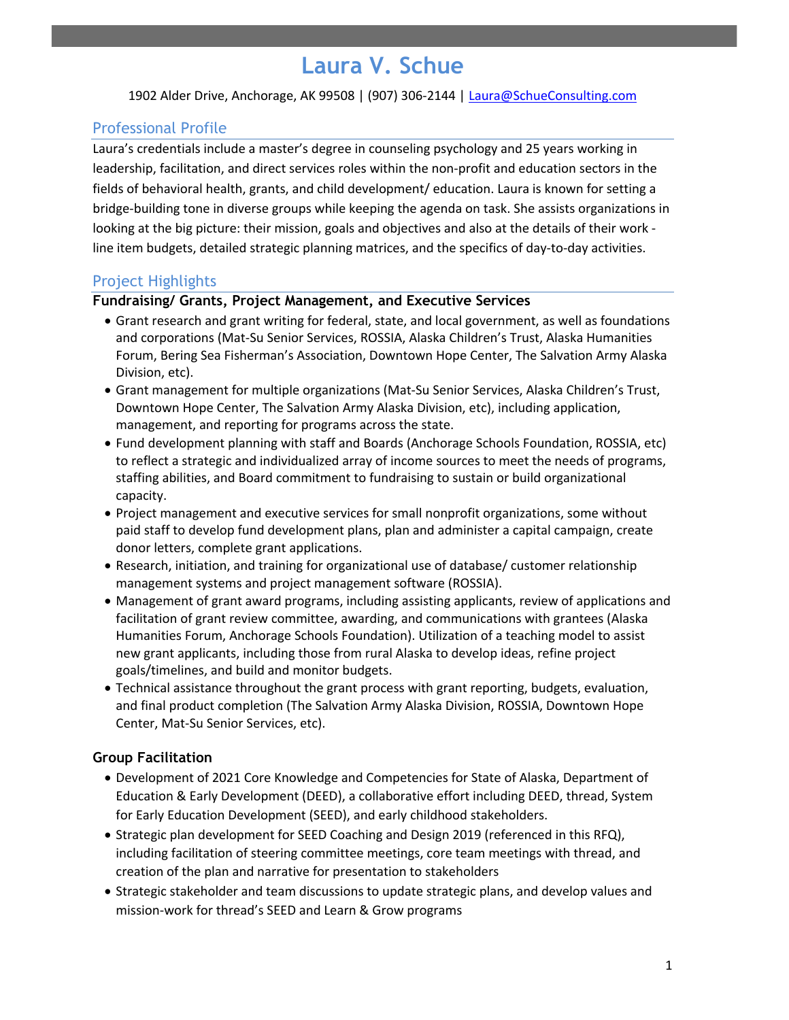# **Laura V. Schue**

1902 Alder Drive, Anchorage, AK 99508 | (907) 306-2144 | Laura@SchueConsulting.com

# Professional Profile

Laura's credentials include a master's degree in counseling psychology and 25 years working in leadership, facilitation, and direct services roles within the non-profit and education sectors in the fields of behavioral health, grants, and child development/ education. Laura is known for setting a bridge-building tone in diverse groups while keeping the agenda on task. She assists organizations in looking at the big picture: their mission, goals and objectives and also at the details of their work line item budgets, detailed strategic planning matrices, and the specifics of day-to-day activities.

# Project Highlights

#### **Fundraising/ Grants, Project Management, and Executive Services**

- Grant research and grant writing for federal, state, and local government, as well as foundations and corporations (Mat-Su Senior Services, ROSSIA, Alaska Children's Trust, Alaska Humanities Forum, Bering Sea Fisherman's Association, Downtown Hope Center, The Salvation Army Alaska Division, etc).
- Grant management for multiple organizations (Mat-Su Senior Services, Alaska Children's Trust, Downtown Hope Center, The Salvation Army Alaska Division, etc), including application, management, and reporting for programs across the state.
- Fund development planning with staff and Boards (Anchorage Schools Foundation, ROSSIA, etc) to reflect a strategic and individualized array of income sources to meet the needs of programs, staffing abilities, and Board commitment to fundraising to sustain or build organizational capacity.
- Project management and executive services for small nonprofit organizations, some without paid staff to develop fund development plans, plan and administer a capital campaign, create donor letters, complete grant applications.
- Research, initiation, and training for organizational use of database/ customer relationship management systems and project management software (ROSSIA).
- Management of grant award programs, including assisting applicants, review of applications and facilitation of grant review committee, awarding, and communications with grantees (Alaska Humanities Forum, Anchorage Schools Foundation). Utilization of a teaching model to assist new grant applicants, including those from rural Alaska to develop ideas, refine project goals/timelines, and build and monitor budgets.
- Technical assistance throughout the grant process with grant reporting, budgets, evaluation, and final product completion (The Salvation Army Alaska Division, ROSSIA, Downtown Hope Center, Mat-Su Senior Services, etc).

## **Group Facilitation**

- Development of 2021 Core Knowledge and Competencies for State of Alaska, Department of Education & Early Development (DEED), a collaborative effort including DEED, thread, System for Early Education Development (SEED), and early childhood stakeholders.
- Strategic plan development for SEED Coaching and Design 2019 (referenced in this RFQ), including facilitation of steering committee meetings, core team meetings with thread, and creation of the plan and narrative for presentation to stakeholders
- Strategic stakeholder and team discussions to update strategic plans, and develop values and mission-work for thread's SEED and Learn & Grow programs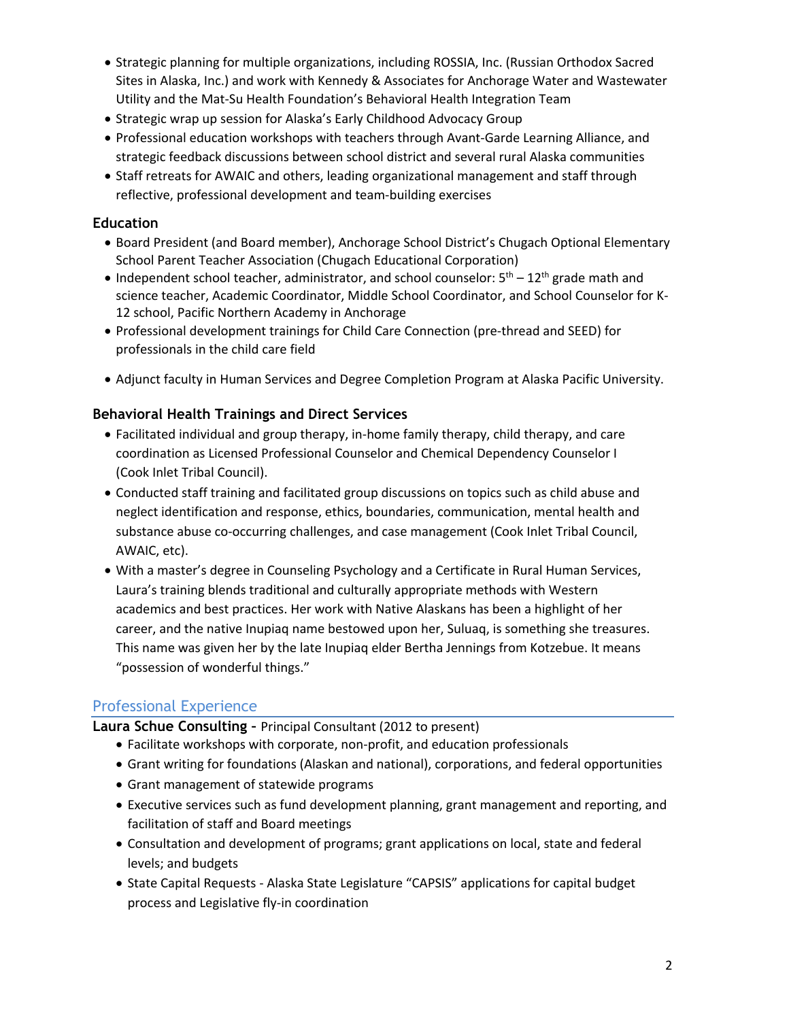- Strategic planning for multiple organizations, including ROSSIA, Inc. (Russian Orthodox Sacred Sites in Alaska, Inc.) and work with Kennedy & Associates for Anchorage Water and Wastewater Utility and the Mat-Su Health Foundation's Behavioral Health Integration Team
- Strategic wrap up session for Alaska's Early Childhood Advocacy Group
- Professional education workshops with teachers through Avant-Garde Learning Alliance, and strategic feedback discussions between school district and several rural Alaska communities
- Staff retreats for AWAIC and others, leading organizational management and staff through reflective, professional development and team-building exercises

# **Education**

- Board President (and Board member), Anchorage School District's Chugach Optional Elementary School Parent Teacher Association (Chugach Educational Corporation)
- Independent school teacher, administrator, and school counselor:  $5<sup>th</sup> 12<sup>th</sup>$  grade math and science teacher, Academic Coordinator, Middle School Coordinator, and School Counselor for K-12 school, Pacific Northern Academy in Anchorage
- Professional development trainings for Child Care Connection (pre-thread and SEED) for professionals in the child care field
- Adjunct faculty in Human Services and Degree Completion Program at Alaska Pacific University.

# **Behavioral Health Trainings and Direct Services**

- Facilitated individual and group therapy, in-home family therapy, child therapy, and care coordination as Licensed Professional Counselor and Chemical Dependency Counselor I (Cook Inlet Tribal Council).
- Conducted staff training and facilitated group discussions on topics such as child abuse and neglect identification and response, ethics, boundaries, communication, mental health and substance abuse co-occurring challenges, and case management (Cook Inlet Tribal Council, AWAIC, etc).
- With a master's degree in Counseling Psychology and a Certificate in Rural Human Services, Laura's training blends traditional and culturally appropriate methods with Western academics and best practices. Her work with Native Alaskans has been a highlight of her career, and the native Inupiaq name bestowed upon her, Suluaq, is something she treasures. This name was given her by the late Inupiaq elder Bertha Jennings from Kotzebue. It means "possession of wonderful things."

# Professional Experience

**Laura Schue Consulting –** Principal Consultant (2012 to present)

- Facilitate workshops with corporate, non-profit, and education professionals
- Grant writing for foundations (Alaskan and national), corporations, and federal opportunities
- Grant management of statewide programs
- Executive services such as fund development planning, grant management and reporting, and facilitation of staff and Board meetings
- Consultation and development of programs; grant applications on local, state and federal levels; and budgets
- State Capital Requests Alaska State Legislature "CAPSIS" applications for capital budget process and Legislative fly-in coordination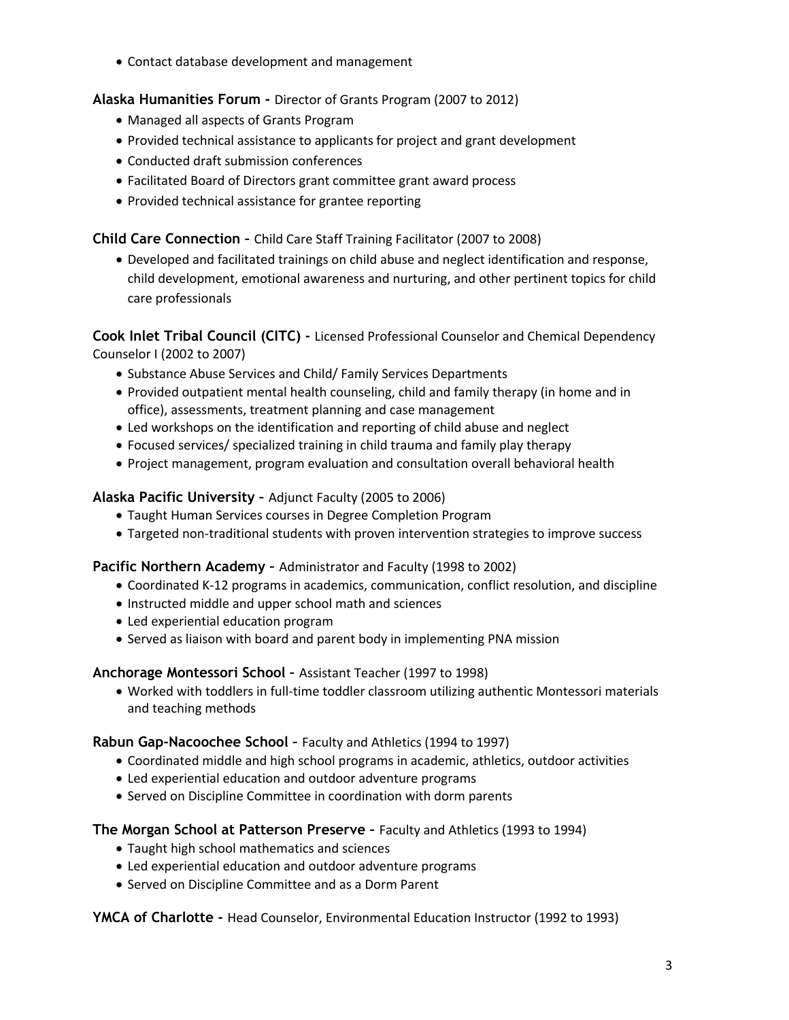• Contact database development and management

# **Alaska Humanities Forum -** Director of Grants Program (2007 to 2012)

- Managed all aspects of Grants Program
- Provided technical assistance to applicants for project and grant development
- Conducted draft submission conferences
- Facilitated Board of Directors grant committee grant award process
- Provided technical assistance for grantee reporting

# **Child Care Connection –** Child Care Staff Training Facilitator (2007 to 2008)

• Developed and facilitated trainings on child abuse and neglect identification and response, child development, emotional awareness and nurturing, and other pertinent topics for child care professionals

**Cook Inlet Tribal Council (CITC) -** Licensed Professional Counselor and Chemical Dependency Counselor I (2002 to 2007)

- Substance Abuse Services and Child/ Family Services Departments
- Provided outpatient mental health counseling, child and family therapy (in home and in office), assessments, treatment planning and case management
- Led workshops on the identification and reporting of child abuse and neglect
- Focused services/ specialized training in child trauma and family play therapy
- Project management, program evaluation and consultation overall behavioral health

## **Alaska Pacific University –** Adjunct Faculty (2005 to 2006)

- Taught Human Services courses in Degree Completion Program
- Targeted non-traditional students with proven intervention strategies to improve success

## **Pacific Northern Academy –** Administrator and Faculty (1998 to 2002)

- Coordinated K-12 programs in academics, communication, conflict resolution, and discipline
- Instructed middle and upper school math and sciences
- Led experiential education program
- Served as liaison with board and parent body in implementing PNA mission

## **Anchorage Montessori School –** Assistant Teacher (1997 to 1998)

• Worked with toddlers in full-time toddler classroom utilizing authentic Montessori materials and teaching methods

## **Rabun Gap-Nacoochee School –** Faculty and Athletics (1994 to 1997)

- Coordinated middle and high school programs in academic, athletics, outdoor activities
- Led experiential education and outdoor adventure programs
- Served on Discipline Committee in coordination with dorm parents

## **The Morgan School at Patterson Preserve –** Faculty and Athletics (1993 to 1994)

- Taught high school mathematics and sciences
- Led experiential education and outdoor adventure programs
- Served on Discipline Committee and as a Dorm Parent

## **YMCA of Charlotte -** Head Counselor, Environmental Education Instructor (1992 to 1993)